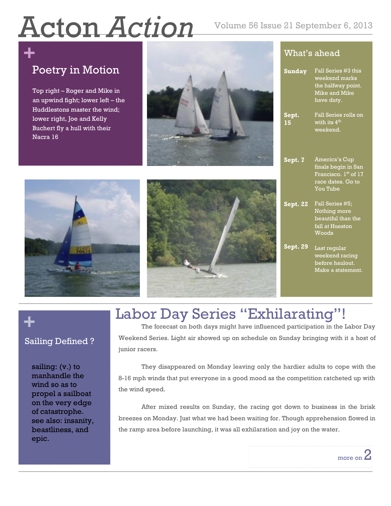# Acton *Action* Volume 56 Issue 21 September 6, 2013

## **+** Poetry in Motion

Top right – Roger and Mike in an upwind fight; lower left – the Huddlestons master the wind; lower right, Joe and Kelly Buchert fly a hull with their Nacra 16



### What's ahead

| <b>Sunday</b>   | Fall Series #3 this<br>weekend marks<br>the halfway point.<br><b>Mike and Mike</b><br>have duty.     |
|-----------------|------------------------------------------------------------------------------------------------------|
| Sept.<br>15     | Fall Series rolls on<br>with its 4 <sup>th</sup><br>weekend.                                         |
| Sept. 7         | America's Cup<br>finals begin in San<br>Francisco. 1st of 17<br>race dates. Go to<br><b>You Tube</b> |
| <b>Sept. 22</b> | Fall Series #5;<br>Nothing more<br>beautiful than the<br>fall at Hueston<br>Woods                    |
| Sept. 29        | Last regular<br>weekend racing<br>before haulout.<br>Make a statement.                               |





# **+**

### Sailing Defined ?

sailing: (v.) to manhandle the wind so as to propel a sailboat on the very edge of catastrophe. see also: insanity, beastliness, and epic.

The forecast on both days might have influenced participation in the Labor Day Weekend Series. Light air showed up on schedule on Sunday bringing with it a host of junior racers.

Labor Day Series "Exhilarating"!

They disappeared on Monday leaving only the hardier adults to cope with the 8-16 mph winds that put everyone in a good mood as the competition ratcheted up with the wind speed.

After mixed results on Sunday, the racing got down to business in the brisk mixed results on Sunday, the racing got down to business in the brisk breezes on Monday. Just what we had been waiting for. Though apprehension flowed in the ramp area before launching, it was all exhilaration and joy on the water.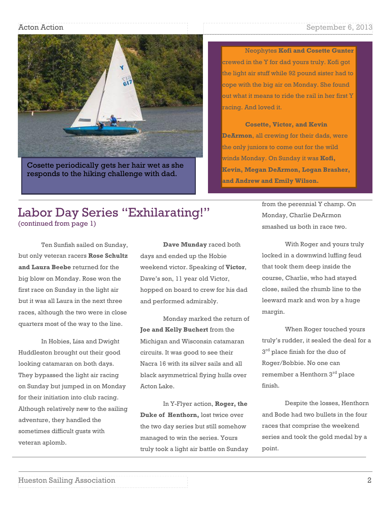#### Acton Action September 6, 2013



Cosette periodically gets her hair wet as she responds to the hiking challenge with dad.

Neophytes **Kofi and Cosette Gunter** crewed in the Y for dad yours truly. Kofi got the light air stuff while 92 pound sister had to cope with the big air on Monday. She found out what it means to ride the rail in her first Y racing. And loved it.

**Cosette, Victor, and Kevin DeArmon**, all crewing for their dads, were the only juniors to come out for the wild winds Monday. On Sunday it was **Kofi, Kevin, Megan DeArmon, Logan Brasher, and Andrew and Emily Wilson.** 

### Labor Day Series "Exhilarating!" (continued from page 1)

Ten Sunfish sailed on Sunday, but only veteran racers **Rose Schultz and Laura Beebe** returned for the big blow on Monday. Rose won the first race on Sunday in the light air but it was all Laura in the next three races, although the two were in close quarters most of the way to the line.

In Hobies, Lisa and Dwight Huddleston brought out their good looking catamaran on both days. They bypassed the light air racing on Sunday but jumped in on Monday for their initiation into club racing. Although relatively new to the sailing adventure, they handled the sometimes difficult gusts with veteran aplomb.

**Dave Munday** raced both days and ended up the Hobie weekend victor. Speaking of **Victor**, Dave's son, 11 year old Victor, hopped on board to crew for his dad and performed admirably.

Monday marked the return of **Joe and Kelly Buchert** from the Michigan and Wisconsin catamaran circuits. It was good to see their Nacra 16 with its silver sails and all black asymmetrical flying hulls over Acton Lake.

In Y-Flyer action, **Roger, the Duke of Henthorn,** lost twice over the two day series but still somehow managed to win the series. Yours truly took a light air battle on Sunday from the perennial Y champ. On Monday, Charlie DeArmon smashed us both in race two.

With Roger and yours truly locked in a downwind luffing feud that took them deep inside the course, Charlie, who had stayed close, sailed the rhumb line to the leeward mark and won by a huge margin.

When Roger touched yours truly's rudder, it sealed the deal for a  $3<sup>rd</sup>$  place finish for the duo of Roger/Bobbie. No one can remember a Henthorn 3rd place finish.

Despite the losses, Henthorn and Bode had two bullets in the four races that comprise the weekend series and took the gold medal by a point.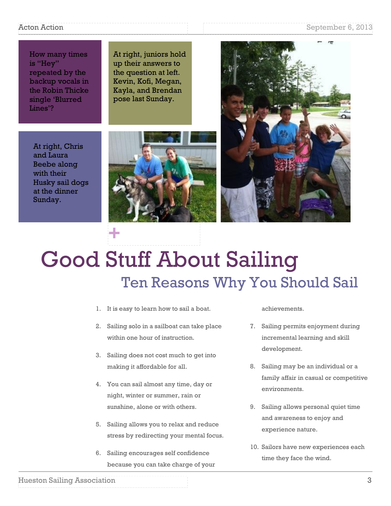#### Acton Action Action September 6, 2013

How many times is "Hey" repeated by the backup vocals in the Robin Thicke single 'Blurred Lines'?

At right, juniors hold up their answers to the question at left. Kevin, Kofi, Megan, Kayla, and Brendan pose last Sunday.



At right, Chris and Laura Beebe along with their Husky sail dogs at the dinner Sunday.

# Good Stuff About Sailing Ten Reasons Why You Should Sail

1. It is easy to learn how to sail a boat.

**+**

- 2. Sailing solo in a sailboat can take place within one hour of instruction.
- 3. Sailing does not cost much to get into making it affordable for all.
- 4. You can sail almost any time, day or night, winter or summer, rain or sunshine, alone or with others.
- 5. Sailing allows you to relax and reduce stress by redirecting your mental focus.
- 6. Sailing encourages self confidence because you can take charge of your

achievements.

- 7. Sailing permits enjoyment during incremental learning and skill development.
- 8. Sailing may be an individual or a family affair in casual or competitive environments.
- 9. Sailing allows personal quiet time and awareness to enjoy and experience nature.
- 10. Sailors have new experiences each time they face the wind.